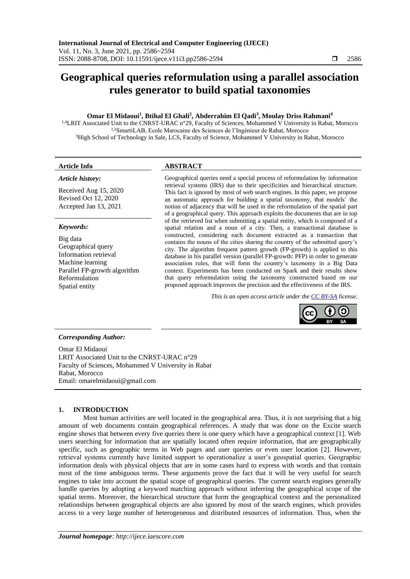# **Geographical queries reformulation using a parallel association rules generator to build spatial taxonomies**

# **Omar El Midaoui<sup>1</sup> , Btihal El Ghali<sup>2</sup> , Abderrahim El Qadi<sup>3</sup> , Moulay Driss Rahmani<sup>4</sup>**

<sup>1,4</sup>LRIT Associated Unit to the CNRST-URAC n°29, Faculty of Sciences, Mohammed V University in Rabat, Morocco 1,2SmartiLAB, Ecole Marocaine des Sciences de l'Ingénieur de Rabat, Morocco <sup>3</sup>High School of Technology in Sale, LCS, Faculty of Science, Mohammed V University in Rabat, Morocco

#### *Article history:*

Received Aug 15, 2020 Revised Oct 12, 2020 Accepted Jan 13, 2021

#### *Keywords:*

Big data Geographical query Information retrieval Machine learning Parallel FP-growth algorithm Reformulation Spatial entity

# **Article Info ABSTRACT**

Geographical queries need a special process of reformulation by information retrieval systems (IRS) due to their specificities and hierarchical structure. This fact is ignored by most of web search engines. In this paper, we propose an automatic approach for building a spatial taxonomy, that models' the notion of adjacency that will be used in the reformulation of the spatial part of a geographical query. This approach exploits the documents that are in top of the retrieved list when submitting a spatial entity, which is composed of a spatial relation and a noun of a city. Then, a transactional database is constructed, considering each document extracted as a transaction that contains the nouns of the cities sharing the country of the submitted query's city. The algorithm frequent pattern growth (FP-growth) is applied to this database in his parallel version (parallel FP-growth: PFP) in order to generate association rules, that will form the country's taxonomy in a Big Data context. Experiments has been conducted on Spark and their results show that query reformulation using the taxonomy constructed based on our proposed approach improves the precision and the effectiveness of the IRS.

*This is an open access article under the [CC BY-SA](https://creativecommons.org/licenses/by-sa/4.0/) license.*



## *Corresponding Author:*

Omar El Midaoui LRIT Associated Unit to the CNRST-URAC n°29 Faculty of Sciences, Mohammed V University in Rabat Rabat, Morocco Email: omarelmidaoui@gmail.com

# **1. INTRODUCTION**

Most human activities are well located in the geographical area. Thus, it is not surprising that a big amount of web documents contain geographical references. A study that was done on the Excite search engine shows that between every five queries there is one query which have a geographical context [1]. Web users searching for information that are spatially located often require information, that are geographically specific, such as geographic terms in Web pages and user queries or even user location [2]. However, retrieval systems currently have limited support to operationalize a user's geospatial queries. Geographic information deals with physical objects that are in some cases hard to express with words and that contain most of the time ambiguous terms. These arguments prove the fact that it will be very useful for search engines to take into account the spatial scope of geographical queries. The current search engines generally handle queries by adopting a keyword matching approach without inferring the geographical scope of the spatial terms. Moreover, the hierarchical structure that form the geographical context and the personalized relationships between geographical objects are also ignored by most of the search engines, which provides access to a very large number of heterogeneous and distributed resources of information. Thus, when the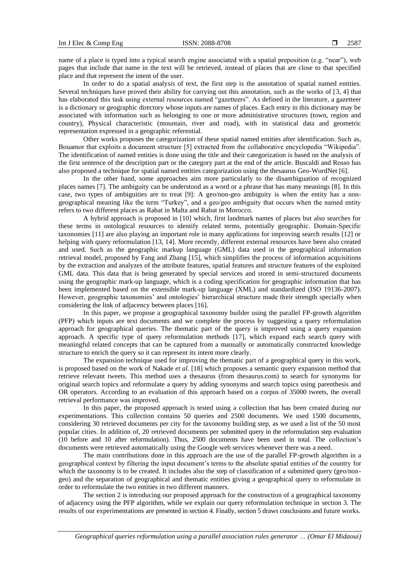name of a place is typed into a typical search engine associated with a spatial preposition (e.g. "near"), web pages that include that name in the text will be retrieved, instead of places that are close to that specified place and that represent the intent of the user.

In order to do a spatial analysis of text, the first step is the annotation of spatial named entities. Several techniques have proved their ability for carrying out this annotation, such as the works of [3, 4] that has elaborated this task using external resources named "gazetteers". As defined in the literature, a gazetteer is a dictionary or geographic directory whose inputs are names of places. Each entry in this dictionary may be associated with information such as belonging to one or more administrative structures (town, region and country), Physical characteristic (mountain, river and road), with its statistical data and geometric representation expressed in a geographic referential.

Other works proposes the categorization of these spatial named entities after identification. Such as, Bouamor that exploits a document structure [5] extracted from the collaborative encyclopedia "Wikipedia". The identification of named entities is done using the title and their categorization is based on the analysis of the first sentence of the description part or the category part at the end of the article. Buscaldi and Rosso has also proposed a technique for spatial named entities categorization using the thesaurus Geo-WordNet [6].

In the other hand, some approaches aim more particularly to the disambiguation of recognized places names [7]. The ambiguity can be understood as a word or a phrase that has many meanings [8]. In this case, two types of ambiguities are to treat [9]: A geo/non-geo ambiguity is when the entity has a nongeographical meaning like the term "Turkey", and a geo/geo ambiguity that occurs when the named entity refers to two different places as Rabat in Malta and Rabat in Morocco.

A hybrid approach is proposed in [10] which, first landmark names of places but also searches for these terms in ontological resources to identify related terms, potentially geographic. Domain-Specific taxonomies [11] are also playing an important role in many applications for improving search results [12] or helping with query reformulation [13, 14]. More recently, different external resources have been also created and used. Such as the geographic markup language (GML) data used in the geographical information retrieval model, proposed by Fang and Zhang [15], which simplifies the process of information acquisitions by the extraction and analyzes of the attribute features, spatial features and structure features of the exploited GML data. This data that is being generated by special services and stored in semi-structured documents using the geographic mark-up language, which is a coding specification for geographic information that has been implemented based on the extensible mark-up language (XML) and standardized (ISO 19136-2007). However, geographic taxonomies' and ontologies' hierarchical structure made their strength specially when considering the link of adjacency between places [16].

In this paper, we propose a geographical taxonomy builder using the parallel FP-growth algorithm (PFP) which inputs are text documents and we complete the process by suggesting a query reformulation approach for geographical queries. The thematic part of the query is improved using a query expansion approach. A specific type of query reformulation methods [17], which expand each search query with meaningful related concepts that can be captured from a manually or automatically constructed knowledge structure to enrich the query so it can represent its intent more clearly.

The expansion technique used for improving the thematic part of a geographical query in this work, is proposed based on the work of Nakade *et al.* [18] which proposes a semantic query expansion method that retrieve relevant tweets. This method uses a thesaurus (from thesaurus.com) to search for synonyms for original search topics and reformulate a query by adding synonyms and search topics using parenthesis and OR operators. According to an evaluation of this approach based on a corpus of 35000 tweets, the overall retrieval performance was improved.

In this paper, the proposed approach is tested using a collection that has been created during our experimentations. This collection contains 50 queries and 2500 documents. We used 1500 documents, considering 30 retrieved documents per city for the taxonomy building step, as we used a list of the 50 most popular cities. In addition of, 20 retrieved documents per submitted query in the reformulation step evaluation (10 before and 10 after reformulation). Thus, 2500 documents have been used in total. The collection's documents were retrieved automatically using the Google web services whenever there was a need.

The main contributions done in this approach are the use of the parallel FP-growth algorithm in a geographical context by filtering the input document's terms to the absolute spatial entities of the country for which the taxonomy is to be created. It includes also the step of classification of a submitted query (geo/nongeo) and the separation of geographical and thematic entities giving a geographical query to reformulate in order to reformulate the two entities in two different manners.

The section 2 is introducing our proposed approach for the construction of a geographical taxonomy of adjacency using the PFP algorithm, while we explain our query reformulation technique in section 3. The results of our experimentations are presented in section 4. Finally, section 5 draws conclusions and future works.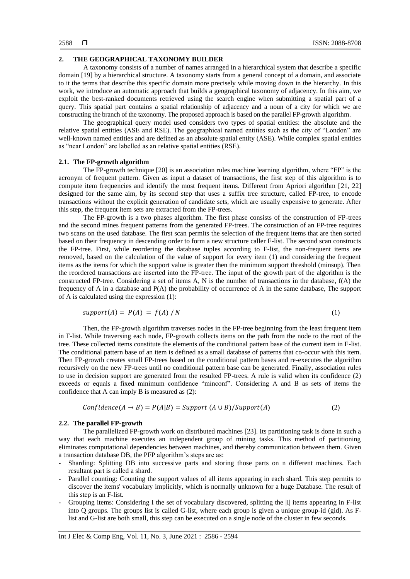#### **2. THE GEOGRAPHICAL TAXONOMY BUILDER**

A taxonomy consists of a number of names arranged in a hierarchical system that describe a specific domain [19] by a hierarchical structure. A taxonomy starts from a general concept of a domain, and associate to it the terms that describe this specific domain more precisely while moving down in the hierarchy. In this work, we introduce an automatic approach that builds a geographical taxonomy of adjacency. In this aim, we exploit the best-ranked documents retrieved using the search engine when submitting a spatial part of a query. This spatial part contains a spatial relationship of adjacency and a noun of a city for which we are constructing the branch of the taxonomy. The proposed approach is based on the parallel FP-growth algorithm.

The geographical query model used considers two types of spatial entities: the absolute and the relative spatial entities (ASE and RSE). The geographical named entities such as the city of "London" are well-known named entities and are defined as an absolute spatial entity (ASE). While complex spatial entities as "near London" are labelled as an relative spatial entities (RSE).

### **2.1. The FP-growth algorithm**

The FP-growth technique [20] is an association rules machine learning algorithm, where "FP" is the acronym of frequent pattern. Given as input a dataset of transactions, the first step of this algorithm is to compute item frequencies and identify the most frequent items. Different from Apriori algorithm [21, 22] designed for the same aim, by its second step that uses a suffix tree structure, called FP-tree, to encode transactions without the explicit generation of candidate sets, which are usually expensive to generate. After this step, the frequent item sets are extracted from the FP-trees.

The FP-growth is a two phases algorithm. The first phase consists of the construction of FP-trees and the second mines frequent patterns from the generated FP-trees. The construction of an FP-tree requires two scans on the used database. The first scan permits the selection of the frequent items that are then sorted based on their frequency in descending order to form a new structure caller F-list. The second scan constructs the FP-tree. First, while reordering the database tuples according to F-list, the non-frequent items are removed, based on the calculation of the value of support for every item (1) and considering the frequent items as the items for which the support value is greater then the minimum support threshold (minsup). Then the reordered transactions are inserted into the FP-tree. The input of the growth part of the algorithm is the constructed FP-tree. Considering a set of items A, N is the number of transactions in the database, f(A) the frequency of A in a database and P(A) the probability of occurrence of A in the same database, The support of A is calculated using the expression (1):

$$
support(A) = P(A) = f(A) / N
$$
\n(1)

Then, the FP-growth algorithm traverses nodes in the FP-tree beginning from the least frequent item in F-list. While traversing each node, FP-growth collects items on the path from the node to the root of the tree. These collected items constitute the elements of the conditional pattern base of the current item in F-list. The conditional pattern base of an item is defined as a small database of patterns that co-occur with this item. Then FP-growth creates small FP-trees based on the conditional pattern bases and re-executes the algorithm recursively on the new FP-trees until no conditional pattern base can be generated. Finally, association rules to use in decision support are generated from the resulted FP-trees. A rule is valid when its confidence (2) exceeds or equals a fixed minimum confidence "minconf". Considering A and B as sets of items the confidence that A can imply B is measured as (2):

$$
Confidence(A \rightarrow B) = P(A|B) = Support (A \cup B)/Support(A)
$$
\n(2)

#### **2.2. The parallel FP-growth**

The parallelized FP-growth work on distributed machines [23]. Its partitioning task is done in such a way that each machine executes an independent group of mining tasks. This method of partitioning eliminates computational dependencies between machines, and thereby communication between them. Given a transaction database DB, the PFP algorithm's steps are as:

- **-** Sharding: Splitting DB into successive parts and storing those parts on n different machines. Each resultant part is called a shard.
- **-** Parallel counting: Counting the support values of all items appearing in each shard. This step permits to discover the items' vocabulary implicitly, which is normally unknown for a huge Database. The result of this step is an F-list.
- **-** Grouping items: Considering I the set of vocabulary discovered, splitting the |I| items appearing in F-list into Q groups. The groups list is called G-list, where each group is given a unique group-id (gid). As Flist and G-list are both small, this step can be executed on a single node of the cluster in few seconds.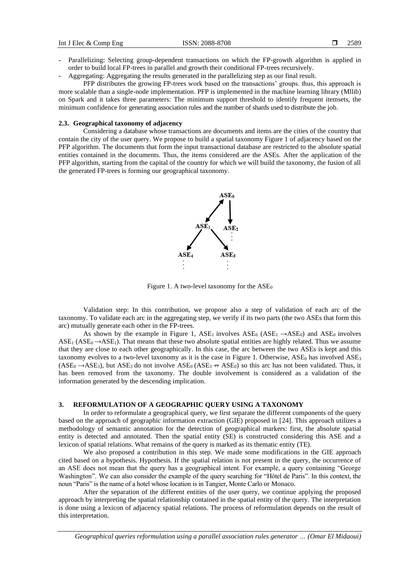- **-** Parallelizing: Selecting group-dependent transactions on which the FP-growth algorithm is applied in order to build local FP-trees in parallel and growth their conditional FP-trees recursively.
- **-** Aggregating: Aggregating the results generated in the parallelizing step as our final result.

PFP distributes the growing FP-trees work based on the transactions' groups. thus, this approach is more scalable than a single-node implementation. PFP is implemented in the machine learning library (Mllib) on Spark and it takes three parameters: The minimum support threshold to identify frequent itemsets, the minimum confidence for generating association rules and the number of shards used to distribute the job.

#### **2.3. Geographical taxonomy of adjacency**

Considering a database whose transactions are documents and items are the cities of the country that contain the city of the user query. We propose to build a spatial taxonomy Figure 1 of adjacency based on the PFP algorithm. The documents that form the input transactional database are restricted to the absolute spatial entities contained in the documents. Thus, the items considered are the ASEs. After the application of the PFP algorithm, starting from the capital of the country for which we will build the taxonomy, the fusion of all the generated FP-trees is forming our geographical taxonomy.



Figure 1. A two-level taxonomy for the  $ASE_0$ 

Validation step: In this contribution, we propose also a step of validation of each arc of the taxonomy. To validate each arc in the aggregating step, we verify if its two parts (the two ASEs that form this arc) mutually generate each other in the FP-trees.

As shown by the example in Figure 1, ASE<sub>1</sub> involves ASE<sub>0</sub> (ASE<sub>1</sub>  $\rightarrow$ ASE<sub>0</sub>) and ASE<sub>0</sub> involves  $\text{ASE}_1 (\text{ASE}_0 \rightarrow \text{ASE}_1)$ . That means that these two absolute spatial entities are highly related. Thus we assume that they are close to each other geographically. In this case, the arc between the two ASEs is kept and this taxonomy evolves to a two-level taxonomy as it is the case in Figure 1. Otherwise,  $ASE_0$  has involved  $ASE_3$  $(ASE_0 \rightarrow ASE_3)$ , but ASE<sub>3</sub> do not involve ASE<sub>0</sub> (ASE<sub>3</sub>  $\leftrightarrow$  ASE<sub>0</sub>) so this arc has not been validated. Thus, it has been removed from the taxonomy. The double involvement is considered as a validation of the information generated by the descending implication.

#### **3. REFORMULATION OF A GEOGRAPHIC QUERY USING A TAXONOMY**

In order to reformulate a geographical query, we first separate the different components of the query based on the approach of geographic information extraction (GIE) proposed in [24]. This approach utilizes a methodology of semantic annotation for the detection of geographical markers: first, the absolute spatial entity is detected and annotated. Then the spatial entity (SE) is constructed considering this ASE and a lexicon of spatial relations. What remains of the query is marked as its thematic entity (TE).

We also proposed a contribution in this step. We made some modifications in the GIE approach cited based on a hypothesis. Hypothesis. If the spatial relation is not present in the query, the occurrence of an ASE does not mean that the query has a geographical intent. For example, a query containing "George Washington". We can also consider the example of the query searching for "Hôtel de Paris". In this context, the noun "Paris" is the name of a hotel whose location is in Tangier, Monte Carlo or Monaco.

After the separation of the different entities of the user query, we continue applying the proposed approach by interpreting the spatial relationship contained in the spatial entity of the query. The interpretation is done using a lexicon of adjacency spatial relations. The process of reformulation depends on the result of this interpretation.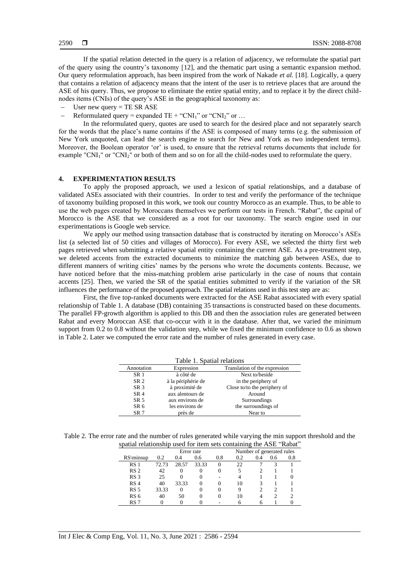If the spatial relation detected in the query is a relation of adjacency, we reformulate the spatial part of the query using the country's taxonomy [12], and the thematic part using a semantic expansion method. Our query reformulation approach, has been inspired from the work of Nakade *et al.* [18]. Logically, a query that contains a relation of adjacency means that the intent of the user is to retrieve places that are around the ASE of his query. Thus, we propose to eliminate the entire spatial entity, and to replace it by the direct childnodes items (CNIs) of the query's ASE in the geographical taxonomy as:

- User new query  $=$  TE SR ASE
- Reformulated query = expanded TE + "CNI<sub>1</sub>" or "CNI<sub>2</sub>" or ...

In the reformulated query, quotes are used to search for the desired place and not separately search for the words that the place's name contains if the ASE is composed of many terms (e.g. the submission of New York unquoted, can lead the search engine to search for New and York as two independent terms). Moreover, the Boolean operator 'or' is used, to ensure that the retrieval returns documents that include for example "CNI<sub>1</sub>" or "CNI<sub>2</sub>" or both of them and so on for all the child-nodes used to reformulate the query.

#### **4. EXPERIMENTATION RESULTS**

To apply the proposed approach, we used a lexicon of spatial relationships, and a database of validated ASEs associated with their countries. In order to test and verify the performance of the technique of taxonomy building proposed in this work, we took our country Morocco as an example. Thus, to be able to use the web pages created by Moroccans themselves we perform our tests in French. "Rabat", the capital of Morocco is the ASE that we considered as a root for our taxonomy. The search engine used in our experimentations is Google web service.

We apply our method using transaction database that is constructed by iterating on Morocco's ASEs list (a selected list of 50 cities and villages of Morocco). For every ASE, we selected the thirty first web pages retrieved when submitting a relative spatial entity containing the current ASE. As a pre-treatment step, we deleted accents from the extracted documents to minimize the matching gab between ASEs, due to different manners of writing cities' names by the persons who wrote the documents contents. Because, we have noticed before that the miss-matching problem arise particularly in the case of nouns that contain accents [25]. Then, we varied the SR of the spatial entities submitted to verify if the variation of the SR influences the performance of the proposed approach. The spatial relations used in this test step are as:

First, the five top-ranked documents were extracted for the ASE Rabat associated with every spatial relationship of Table 1. A database (DB) containing 35 transactions is constructed based on these documents. The parallel FP-growth algorithm is applied to this DB and then the association rules are generated between Rabat and every Moroccan ASE that co-occur with it in the database. After that, we varied the minimum support from 0.2 to 0.8 without the validation step, while we fixed the minimum confidence to 0.6 as shown in Table 2. Later we computed the error rate and the number of rules generated in every case.

| Table 1. Spatial relations |                    |                               |  |  |
|----------------------------|--------------------|-------------------------------|--|--|
| Annotation                 | Expression         | Translation of the expression |  |  |
| <b>SR1</b>                 | à côté de          | Next to/beside                |  |  |
| SR <sub>2</sub>            | à la périphérie de | in the periphery of           |  |  |
| SR <sub>3</sub>            | à proximité de     | Close to/to the periphery of  |  |  |
| SR <sub>4</sub>            | aux alentours de   | Around                        |  |  |
| SR <sub>5</sub>            | aux environs de    | Surroundings                  |  |  |
| SR <sub>6</sub>            | les environs de    | the surroundings of           |  |  |
| SR <sub>7</sub>            | près de            | Near to                       |  |  |

Table 2. The error rate and the number of rules generated while varying the min support threshold and the spatial relationship used for item sets containing the ASE "Rabat"

|                 |            |       |       |     |                           | -   |     | .   |
|-----------------|------------|-------|-------|-----|---------------------------|-----|-----|-----|
|                 | Error rate |       |       |     | Number of generated rules |     |     |     |
| RS\minsup       | 0.2        | 0.4   | 0.6   | 0.8 | 0.2                       | 0.4 | 0.6 | 0.8 |
| RS <sub>1</sub> | 72.73      | 28.57 | 33.33 | 0   | 22                        |     |     |     |
| RS <sub>2</sub> | 42         | 0     |       |     |                           |     |     |     |
| RS <sub>3</sub> | 25         |       |       |     |                           |     |     |     |
| RS <sub>4</sub> | 40         | 33.33 | 0     |     | 10                        |     |     |     |
| RS <sub>5</sub> | 33.33      | 0     |       |     | 9                         |     |     |     |
| RS <sub>6</sub> | 40         | 50    | 0     |     | 10                        |     |     |     |
| RS <sub>7</sub> |            |       |       |     |                           |     |     |     |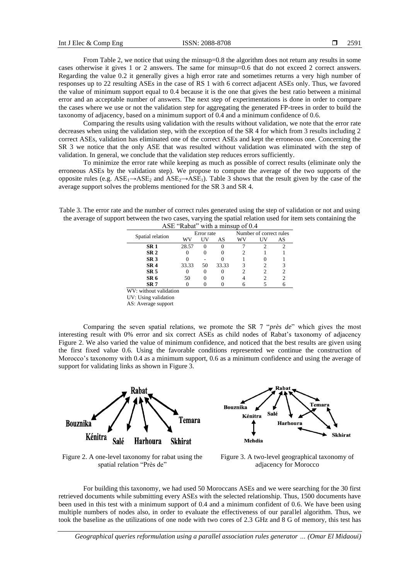From Table 2, we notice that using the minsup=0.8 the algorithm does not return any results in some cases otherwise it gives 1 or 2 answers. The same for minsup=0.6 that do not exceed 2 correct answers. Regarding the value 0.2 it generally gives a high error rate and sometimes returns a very high number of responses up to 22 resulting ASEs in the case of RS 1 with 6 correct adjacent ASEs only. Thus, we favored the value of minimum support equal to 0.4 because it is the one that gives the best ratio between a minimal error and an acceptable number of answers. The next step of experimentations is done in order to compare the cases where we use or not the validation step for aggregating the generated FP-trees in order to build the taxonomy of adjacency, based on a minimum support of 0.4 and a minimum confidence of 0.6.

Comparing the results using validation with the results without validation, we note that the error rate decreases when using the validation step, with the exception of the SR 4 for which from 3 results including 2 correct ASEs, validation has eliminated one of the correct ASEs and kept the erroneous one. Concerning the SR 3 we notice that the only ASE that was resulted without validation was eliminated with the step of validation. In general, we conclude that the validation step reduces errors sufficiently.

To minimize the error rate while keeping as much as possible of correct results (eliminate only the erroneous ASEs by the validation step). We propose to compute the average of the two supports of the opposite rules (e.g.  $ASE_1 \rightarrow ASE_2$  and  $ASE_2 \rightarrow ASE_1$ ). Table 3 shows that the result given by the case of the average support solves the problems mentioned for the SR 3 and SR 4.

Table 3. The error rate and the number of correct rules generated using the step of validation or not and using the average of support between the two cases, varying the spatial relation used for item sets containing the ASE "Rabat" with a minsup of 0.4

|                  |                    | Error rate |              |       | Number of correct rules |    |  |
|------------------|--------------------|------------|--------------|-------|-------------------------|----|--|
| Spatial relation | wv                 | НV         | AS           | WV    | UV                      | AS |  |
| SR <sub>1</sub>  |                    | 28.57      | $\mathbf{I}$ |       |                         |    |  |
| SR <sub>2</sub>  |                    |            |              |       |                         |    |  |
| SR <sub>3</sub>  |                    |            |              |       |                         |    |  |
| SR <sub>4</sub>  |                    | 33.33      | 50           | 33.33 |                         |    |  |
| SR <sub>5</sub>  |                    |            |              |       |                         |    |  |
| SR <sub>6</sub>  |                    | 50         |              |       |                         |    |  |
| SR <sub>7</sub>  |                    |            |              |       |                         |    |  |
| <b>TTT</b>       | きんせい しんしょう はちじゅうしき |            |              |       |                         |    |  |

WV: without validation

UV: Using validation

AS: Average support

Comparing the seven spatial relations, we promote the SR 7 "*près de*" which gives the most interesting result with 0% error and six correct ASEs as child nodes of Rabat's taxonomy of adjacency Figure 2. We also varied the value of minimum confidence, and noticed that the best results are given using the first fixed value 0.6. Using the favorable conditions represented we continue the construction of Morocco's taxonomy with 0.4 as a minimum support, 0.6 as a minimum confidence and using the average of support for validating links as shown in Figure 3.



Figure 2. A one-level taxonomy for rabat using the spatial relation "Près de"



Figure 3. A two-level geographical taxonomy of adjacency for Morocco

For building this taxonomy, we had used 50 Moroccans ASEs and we were searching for the 30 first retrieved documents while submitting every ASEs with the selected relationship. Thus, 1500 documents have been used in this test with a minimum support of 0.4 and a minimum confident of 0.6. We have been using multiple numbers of nodes also, in order to evaluate the effectiveness of our parallel algorithm. Thus, we took the baseline as the utilizations of one node with two cores of 2.3 GHz and 8 G of memory, this test has

*Geographical queries reformulation using a parallel association rules generator … (Omar El Midaoui)*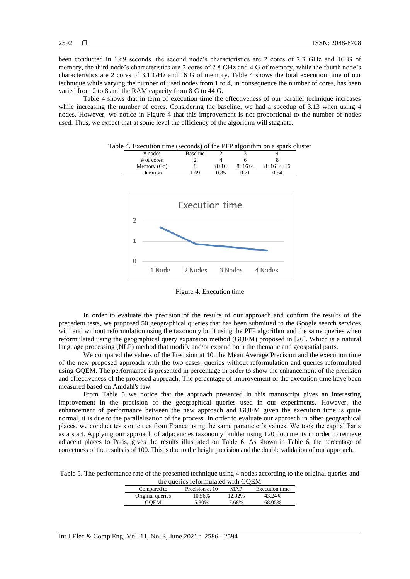been conducted in 1.69 seconds. the second node's characteristics are 2 cores of 2.3 GHz and 16 G of memory, the third node's characteristics are 2 cores of 2.8 GHz and 4 G of memory, while the fourth node's characteristics are 2 cores of 3.1 GHz and 16 G of memory. Table 4 shows the total execution time of our technique while varying the number of used nodes from 1 to 4, in consequence the number of cores, has been varied from 2 to 8 and the RAM capacity from 8 G to 44 G.

Table 4 shows that in term of execution time the effectiveness of our parallel technique increases while increasing the number of cores. Considering the baseline, we had a speedup of 3.13 when using 4 nodes. However, we notice in Figure 4 that this improvement is not proportional to the number of nodes used. Thus, we expect that at some level the efficiency of the algorithm will stagnate.

| Table 4. Execution time (seconds) of the PFP algorithm on a spark cluster |  |  |  |
|---------------------------------------------------------------------------|--|--|--|
|---------------------------------------------------------------------------|--|--|--|

| $#$ nodes   | <b>Baseline</b> |          |          |             |
|-------------|-----------------|----------|----------|-------------|
| # of cores  |                 |          |          |             |
| Memory (Go) |                 | $8 + 16$ | $8+16+4$ | $8+16+4+16$ |
| Duration    | . 69            | 0.85     | 0.71     | 0.54        |
|             |                 |          |          |             |
|             |                 |          |          |             |



Figure 4. Execution time

In order to evaluate the precision of the results of our approach and confirm the results of the precedent tests, we proposed 50 geographical queries that has been submitted to the Google search services with and without reformulation using the taxonomy built using the PFP algorithm and the same queries when reformulated using the geographical query expansion method (GQEM) proposed in [26]. Which is a natural language processing (NLP) method that modify and/or expand both the thematic and geospatial parts.

We compared the values of the Precision at 10, the Mean Average Precision and the execution time of the new proposed approach with the two cases: queries without reformulation and queries reformulated using GQEM. The performance is presented in percentage in order to show the enhancement of the precision and effectiveness of the proposed approach. The percentage of improvement of the execution time have been measured based on Amdahl's law.

From Table 5 we notice that the approach presented in this manuscript gives an interesting improvement in the precision of the geographical queries used in our experiments. However, the enhancement of performance between the new approach and GQEM given the execution time is quite normal, it is due to the parallelisation of the process. In order to evaluate our approach in other geographical places, we conduct tests on cities from France using the same parameter's values. We took the capital Paris as a start. Applying our approach of adjacencies taxonomy builder using 120 documents in order to retrieve adjacent places to Paris, gives the results illustrated on Table 6. As shown in Table 6, the percentage of correctness of the results is of 100. This is due to the height precision and the double validation of our approach.

Table 5. The performance rate of the presented technique using 4 nodes according to the original queries and  $t_{\text{ho}}$  gueries reformulated with  $\text{COLM}$ 

| the queries reformulated with GOEM |                 |        |                |  |  |
|------------------------------------|-----------------|--------|----------------|--|--|
| Compared to                        | Precision at 10 | MAP    | Execution time |  |  |
| Original queries                   | 10.56%          | 12.92% | 43.24%         |  |  |
| <b>GOEM</b>                        | 5.30%           | 7.68%  | 68.05%         |  |  |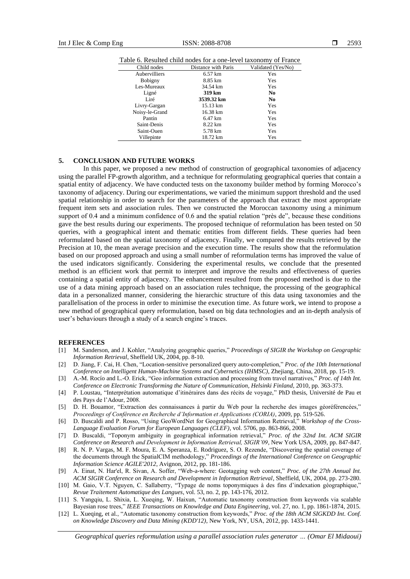| Child nodes          | Distance with Paris | Validated (Yes/No) |
|----------------------|---------------------|--------------------|
| <b>Aubervilliers</b> | 6.57 km             | Yes                |
| <b>Bobigny</b>       | 8.85 km             | Yes                |
| Les-Mureaux          | 34.54 km            | Yes                |
| Ligné                | 319 km              | N <sub>0</sub>     |
| Liré                 | 3539.32 km          | N <sub>0</sub>     |
| Livry-Gargan         | 15.13 km            | Yes                |
| Noisy-le-Grand       | 16.38 km            | Yes                |
| Pantin               | 6.47 km             | Yes                |
| Saint-Denis          | 8.22 km             | Yes                |
| Saint-Ouen           | 5.78 km             | Yes                |
| Villepinte           | 18.72 km            | Yes                |

Table 6. Resulted child nodes for a one-level taxonomy of France

#### **5. CONCLUSION AND FUTURE WORKS**

In this paper, we proposed a new method of construction of geographical taxonomies of adjacency using the parallel FP-growth algorithm, and a technique for reformulating geographical queries that contain a spatial entity of adjacency. We have conducted tests on the taxonomy builder method by forming Morocco's taxonomy of adjacency. During our experimentations, we varied the minimum support threshold and the used spatial relationship in order to search for the parameters of the approach that extract the most appropriate frequent item sets and association rules. Then we constructed the Moroccan taxonomy using a minimum support of 0.4 and a minimum confidence of 0.6 and the spatial relation "près de", because these conditions gave the best results during our experiments. The proposed technique of reformulation has been tested on 50 queries, with a geographical intent and thematic entities from different fields. These queries had been reformulated based on the spatial taxonomy of adjacency. Finally, we compared the results retrieved by the Precision at 10, the mean average precision and the execution time. The results show that the reformulation based on our proposed approach and using a small number of reformulation terms has improved the value of the used indicators significantly. Considering the experimental results, we conclude that the presented method is an efficient work that permit to interpret and improve the results and effectiveness of queries containing a spatial entity of adjacency. The enhancement resulted from the proposed method is due to the use of a data mining approach based on an association rules technique, the processing of the geographical data in a personalized manner, considering the hierarchic structure of this data using taxonomies and the parallelisation of the process in order to minimise the execution time. As future work, we intend to propose a new method of geographical query reformulation, based on big data technologies and an in-depth analysis of user's behaviours through a study of a search engine's traces.

#### **REFERENCES**

- [1] M. Sanderson, and J. Kohler, "Analyzing geographic queries," *Proceedings of SIGIR the Workshop on Geographic Information Retrieval*, Sheffield UK, 2004, pp. 8-10.
- [2] D. Jiang, F. Cai, H. Chen, "Location-sensitive personalized query auto-completion," *Proc. of the 10th International Conference on Intelligent Human-Machine Systems and Cybernetics (IHMSC)*, Zhejiang, China, 2018, pp. 15-19.
- [3] A.-M. Rocío and L.-O. Erick, "Geo information extraction and processing from travel narratives," *Proc. of 14th Int. Conference on Electronic Transforming the Nature of Communication, Helsinki Finland*, 2010, pp. 363-373.
- [4] P. Loustau, "Interprétation automatique d'itinéraires dans des récits de voyage," PhD thesis, Université de Pau et des Pays de l'Adour, 2008.
- [5] D. H. Bouamor, "Extraction des connaissances à partir du Web pour la recherche des images géoréférencées," *Proceedings of Conférence en Recherche d'Information et Applications (CORIA)*, 2009*,* pp. 519-526.
- [6] D. Buscaldi and P. Rosso, "Using GeoWordNet for Geographical Information Retrieval," *Workshop of the Cross-Language Evaluation Forum for European Languages (CLEF)*, vol. 5706, pp. 863-866, 2008.
- [7] D. Buscaldi, "Toponym ambiguity in geographical information retrieval," *Proc. of the 32nd Int. ACM SIGIR Conference on Research and Development in Information Retrieval, SIGIR'09*, New York USA, 2009, pp. 847-847.
- [8] R. N. P. Vargas, M. F. Moura, E. A. Speranza, E. Rodriguez, S. O. Rezende, "Discovering the spatial coverage of the documents through the SpatialCIM methodology," *Proceedings of the International Conference on Geographic Information Science AGILE'2012*, Avignon, 2012, pp. 181-186.
- [9] A. Einat, N. Har'el, R. Sivan, A. Soffer, "Web-a-where: Geotagging web content," *Proc. of the 27th Annual Int. ACM SIGIR Conference on Research and Development in Information Retrieval*, Sheffield, UK, 2004, pp. 273-280.
- [10] M. Gaio, V.T. Nguyen, C. Sallaberry, "Typage de noms toponymiques à des fins d'indexation géographique," *Revue Traitement Automatique des Langues*, vol. 53, no. 2, pp. 143-176, 2012.
- [11] S. Yangqiu, L. Shixia, L. Xueqing, W. Haixun, "Automatic taxonomy construction from keywords via scalable Bayesian rose trees," *IEEE Transactions on Knowledge and Data Engineering*, vol. 27, no. 1, pp. 1861-1874, 2015.
- [12] L. Xueqing, et al., "Automatic taxonomy construction from keywords," *Proc. of the 18th ACM SIGKDD Int. Conf. on Knowledge Discovery and Data Mining (KDD'12)*, New York, NY, USA, 2012, pp. 1433-1441.